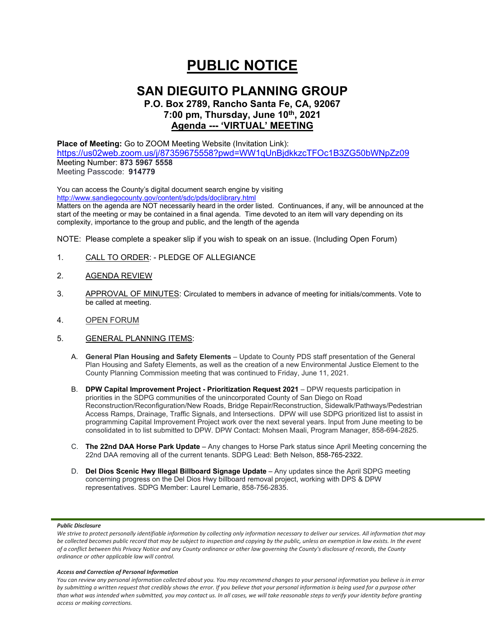# **PUBLIC NOTICE**

## **SAN DIEGUITO PLANNING GROUP**

**P.O. Box 2789, Rancho Santa Fe, CA, 92067 7:00 pm, Thursday, June 10th, 2021 Agenda --- 'VIRTUAL' MEETING**

**Place of Meeting:** Go to ZOOM Meeting Website (Invitation Link):

<https://us02web.zoom.us/j/87359675558?pwd=WW1qUnBjdkkzcTFOc1B3ZG50bWNpZz09> Meeting Number: **873 5967 5558**

Meeting Passcode: **914779**

You can access the County's digital document search engine by visiting <http://www.sandiegocounty.gov/content/sdc/pds/doclibrary.html> Matters on the agenda are NOT necessarily heard in the order listed. Continuances, if any, will be announced at the start of the meeting or may be contained in a final agenda. Time devoted to an item will vary depending on its

complexity, importance to the group and public, and the length of the agenda

NOTE: Please complete a speaker slip if you wish to speak on an issue. (Including Open Forum)

- 1. CALL TO ORDER: PLEDGE OF ALLEGIANCE
- 2. AGENDA REVIEW
- 3. APPROVAL OF MINUTES: Circulated to members in advance of meeting for initials/comments. Vote to be called at meeting.
- 4. OPEN FORUM
- 5. GENERAL PLANNING ITEMS:
	- A. **General Plan Housing and Safety Elements** Update to County PDS staff presentation of the General Plan Housing and Safety Elements, as well as the creation of a new Environmental Justice Element to the County Planning Commission meeting that was continued to Friday, June 11, 2021.
	- B. **DPW Capital Improvement Project - Prioritization Request 2021** DPW requests participation in priorities in the SDPG communities of the unincorporated County of San Diego on Road Reconstruction/Reconfiguration/New Roads, Bridge Repair/Reconstruction, Sidewalk/Pathways/Pedestrian Access Ramps, Drainage, Traffic Signals, and Intersections. DPW will use SDPG prioritized list to assist in programming Capital Improvement Project work over the next several years. Input from June meeting to be consolidated in to list submitted to DPW. DPW Contact: Mohsen Maali, Program Manager, 858-694-2825.
	- C. **The 22nd DAA Horse Park Update** Any changes to Horse Park status since April Meeting concerning the 22nd DAA removing all of the current tenants. SDPG Lead: Beth Nelson, 858-765-2322.
	- D. **Del Dios Scenic Hwy Illegal Billboard Signage Update** Any updates since the April SDPG meeting concerning progress on the Del Dios Hwy billboard removal project, working with DPS & DPW representatives. SDPG Member: Laurel Lemarie, 858-756-2835.

## *Public Disclosure*

#### *Access and Correction of Personal Information*

*You can review any personal information collected about you. You may recommend changes to your personal information you believe is in error by submitting a written request that credibly shows the error. If you believe that your personal information is being used for a purpose other than what was intended when submitted, you may contact us. In all cases, we will take reasonable steps to verify your identity before granting access or making corrections.*

We strive to protect personally identifiable information by collecting only information necessary to deliver our services. All information that may *be collected becomes public record that may be subject to inspection and copying by the public, unless an exemption in law exists. In the event of a conflict between this Privacy Notice and any County ordinance or other law governing the County's disclosure of records, the County ordinance or other applicable law will control.*